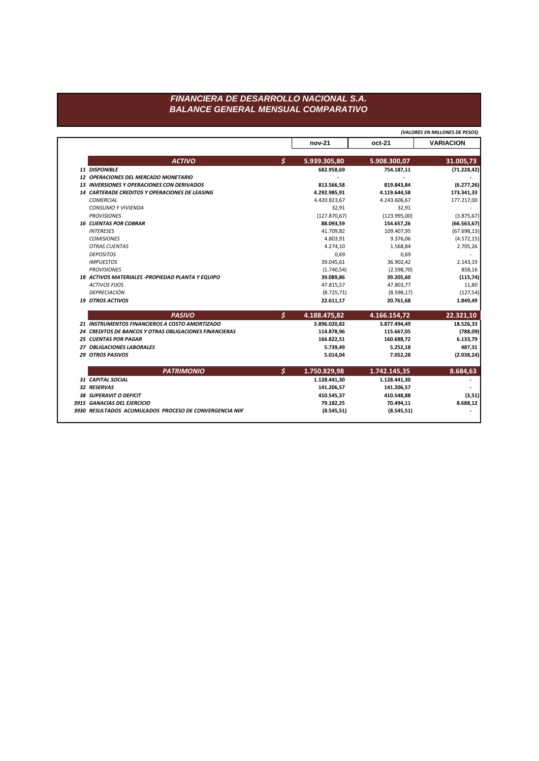## FINANCIERA DE DESARROLLO NACIONAL S.A. **BALANCE GENERAL MENSUAL COMPARATIVO**

|                                                         |    |               | (VALORES EN MILLONES DE PESOS) |                  |
|---------------------------------------------------------|----|---------------|--------------------------------|------------------|
|                                                         |    | nov-21        | oct-21                         | <b>VARIACION</b> |
| <b>ACTIVO</b>                                           | Ś. | 5.939.305,80  | 5.908.300,07                   | 31.005,73        |
| 11 DISPONIBLE                                           |    | 682.958,69    | 754.187,11                     | (71.228, 42)     |
| 12 OPERACIONES DEL MERCADO MONETARIO                    |    |               |                                |                  |
| <b>13 INVERSIONES Y OPERACIONES CON DERIVADOS</b>       |    | 813.566,58    | 819.843,84                     | (6.277, 26)      |
| <b>14 CARTERADE CREDITOS Y OPERACIONES DE LEASING</b>   |    | 4.292.985,91  | 4.119.644,58                   | 173.341,33       |
| <b>COMERCIAL</b>                                        |    | 4.420.823,67  | 4.243.606,67                   | 177.217,00       |
| <b>CONSUMO Y VIVIENDA</b>                               |    | 32,91         | 32,91                          |                  |
| <b>PROVISIONES</b>                                      |    | (127.870, 67) | (123.995,00)                   | (3.875, 67)      |
| <b>16 CUENTAS POR COBRAR</b>                            |    | 88.093,59     | 154.657,26                     | (66.563, 67)     |
| <b>INTERESES</b>                                        |    | 41.709,82     | 109.407,95                     | (67.698, 13)     |
| <b>COMISIONES</b>                                       |    | 4.803,91      | 9.376,06                       | (4.572, 15)      |
| <b>OTRAS CUENTAS</b>                                    |    | 4.274.10      | 1.568.84                       | 2.705,26         |
| <b>DEPOSITOS</b>                                        |    | 0,69          | 0,69                           |                  |
| <b>IMPUESTOS</b>                                        |    | 39.045,61     | 36.902,42                      | 2.143,19         |
| <b>PROVISIONES</b>                                      |    | (1.740, 54)   | (2.598, 70)                    | 858,16           |
| 18 ACTIVOS MATERIALES - PROPIEDAD PLANTA Y EQUIPO       |    | 39.089,86     | 39.205,60                      | (115, 74)        |
| <b>ACTIVOS FIJOS</b>                                    |    | 47.815,57     | 47.803,77                      | 11,80            |
| DEPRECIACIÓN                                            |    | (8.725, 71)   | (8.598, 17)                    | (127, 54)        |
| <b>19 OTROS ACTIVOS</b>                                 |    | 22.611,17     | 20.761,68                      | 1.849,49         |
| <b>PASIVO</b>                                           | Ś. | 4.188.475,82  | 4.166.154,72                   | 22.321,10        |
| 21 INSTRUMENTOS FINANCIEROS A COSTO AMORTIZADO          |    | 3.896.020,82  | 3.877.494,49                   | 18.526,33        |
| 24 CREDITOS DE BANCOS Y OTRAS OBLIGACIONES FINANCIERAS  |    | 114.878,96    | 115.667,05                     | (788,09)         |
| <b>25 CUENTAS POR PAGAR</b>                             |    | 166.822,51    | 160.688,72                     | 6.133,79         |
| 27 OBLIGACIONES LABORALES                               |    | 5.739,49      | 5.252,18                       | 487,31           |
| 29 OTROS PASIVOS                                        |    | 5.014.04      | 7.052.28                       | (2.038, 24)      |
| <b>PATRIMONIO</b>                                       | \$ | 1.750.829,98  | 1.742.145,35                   | 8.684,63         |
| 31 CAPITAL SOCIAL                                       |    | 1.128.441,30  | 1.128.441,30                   |                  |
| 32 RESERVAS                                             |    | 141.206,57    | 141.206,57                     |                  |
| <b>38 SUPERAVIT O DEFICIT</b>                           |    | 410.545,37    | 410.548,88                     | (3,51)           |
| 3915 GANACIAS DEL EJERCICIO                             |    | 79.182,25     | 70.494,11                      | 8.688,12         |
| 3930 RESULTADOS ACUMULADOS PROCESO DE CONVERGENCIA NIIF |    | (8.545, 51)   | (8.545, 51)                    |                  |